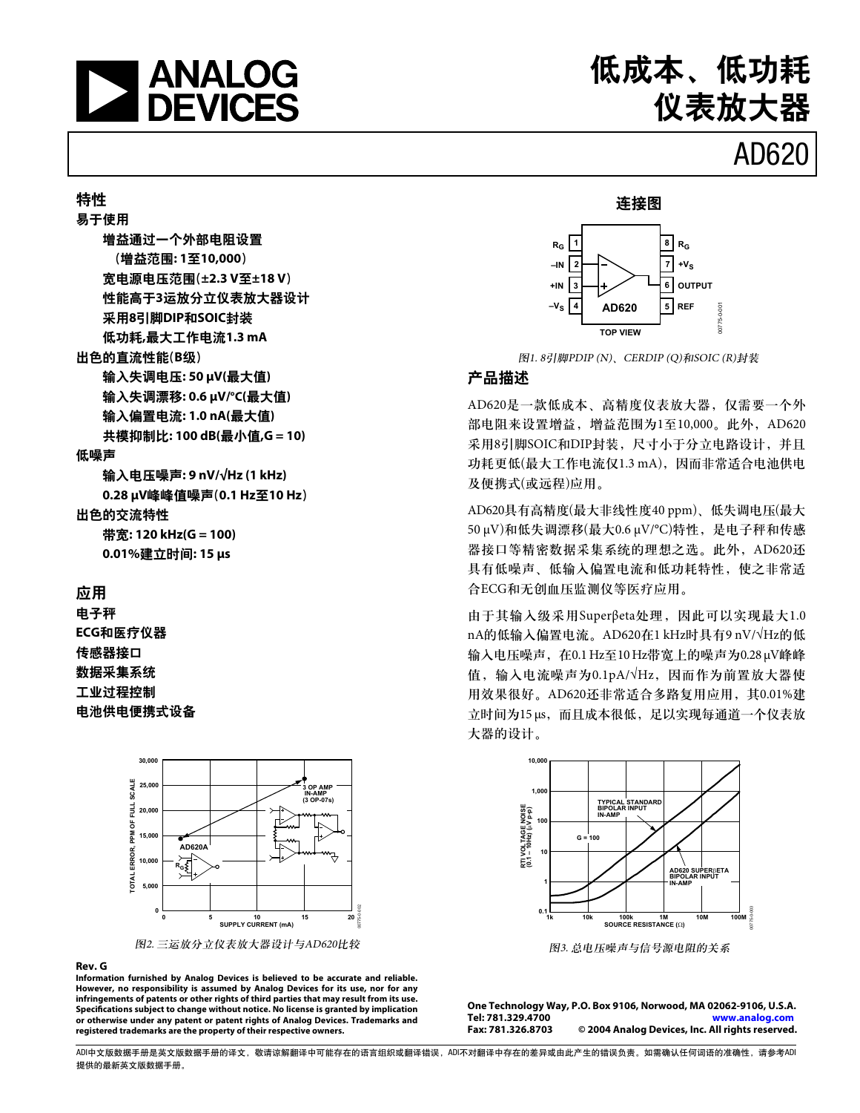

### 特性

易干使用 增益通过一个外部电阻设置 (增益范围: 1至10,000) 宽电源电压范围(±2.3 V至±18 V) 性能高于3运放分立仪表放大器设计 采用8引脚DIP和SOIC封装 低功耗,最大工作电流1.3 mA 出色的直流性能(B级) 输入失调电压: 50 µV(最大值) 输入失调漂移: 0.6 µV/℃(最大值) 输入偏置电流: 1.0 nA(最大值) 共模抑制比: 100 dB(最小值,G = 10) 低噪声 输入电压噪声: 9 nV/√Hz (1 kHz)

0.28 µV峰峰值噪声(0.1 Hz至10 Hz)

### 出色的交流特性

带宽: 120 kHz(G = 100) 0.01%建立时间: 15 µs

### 应用

电子秤 ECG和医疗仪器 传感器接口 数据采集系统 工业讨程控制 电池供电便携式设备



#### Rev. G

Information furnished by Analog Devices is believed to be accurate and reliable. However, no responsibility is assumed by Analog Devices for its use, nor for any infringements of patents or other rights of third parties that may result from its use. Specifications subject to change without notice. No license is granted by implication or otherwise under any patent or patent rights of Analog Devices. Trademarks and registered trademarks are the property of their respective owners.



图1.8引脚PDIP(N)、CERDIP(Q)和SOIC(R)封装

### 产品描述

AD620是一款低成本、高精度仪表放大器, 仅需要一个外 部电阻来设置增益, 增益范围为1至10,000。此外, AD620 采用8引脚SOIC和DIP封装, 尺寸小干分立电路设计, 并且 功耗更低(最大工作电流仅1.3 mA), 因而非常适合电池供电 及便携式(或远程)应用。

AD620具有高精度(最大非线性度40 ppm)、低失调电压(最大 50 μV)和低失调漂移(最大0.6 μV/°C)特性, 是电子秤和传感 器接口等精密数据采集系统的理想之选。此外, AD620还 具有低噪声、低输入偏置电流和低功耗特性, 使之非常适 合ECG和无创血压监测仪等医疗应用。

由于其输入级采用Superβeta处理, 因此可以实现最大1.0 nA的低输入偏置电流。AD620在1 kHz时具有9 nV/VHz的低 输入电压噪声, 在0.1 Hz至10 Hz带宽上的噪声为0.28 μV峰峰 值, 输入电流噪声为0.1pA/ $\sqrt{Hz}$ , 因而作为前置放大器使 用效果很好。AD620还非常适合多路复用应用,其0.01%建 立时间为15μs, 而且成本很低, 足以实现每通道一个仪表放 大器的设计。



图3. 总电压噪声与信号源电阻的关系

One Technology Way, P.O. Box 9106, Norwood, MA 02062-9106, U.S.A. Tel: 781.329.4700 www.analog.com Fax: 781.326.8703 © 2004 Analog Devices, Inc. All rights reserved.

ADI中文版数据手册是英文版数据手册的译文,敬请谅解翻译中可能存在的语言组织或翻译错误,ADI不对翻译中存在的差异或由此产生的错误负责。如需确认任何词语的准确性,请参考ADI 提供的最新英文版数据手册。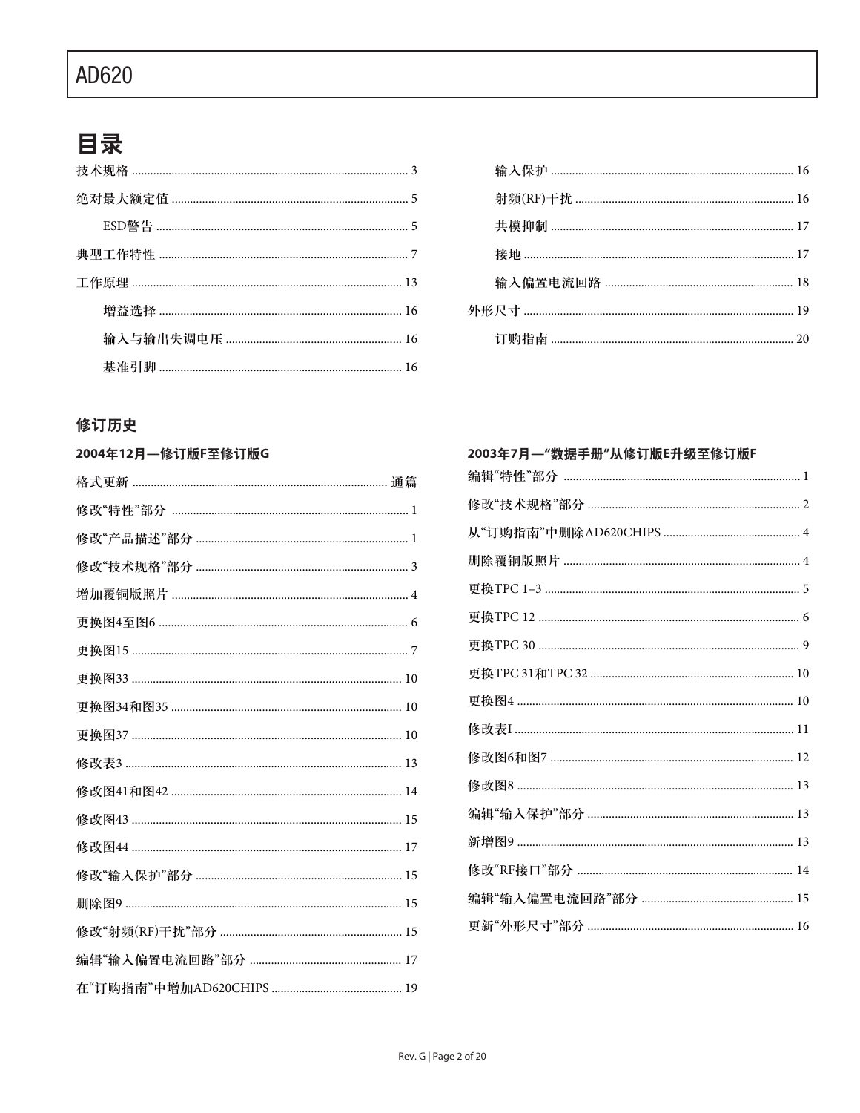# 目录

### 修订历史

| 2004年12月–修订版F至修订版G |
|--------------------|
|                    |
|                    |
|                    |
|                    |
|                    |
|                    |
|                    |
|                    |
|                    |
|                    |
|                    |
|                    |
|                    |
|                    |
|                    |
|                    |
|                    |
|                    |
|                    |

| 2003年7月—"数据手册"从修订版E升级至修订版F |
|----------------------------|
|                            |
|                            |
|                            |
|                            |
|                            |
|                            |
|                            |
|                            |
|                            |
|                            |
|                            |
|                            |
|                            |
|                            |
|                            |
|                            |
|                            |
|                            |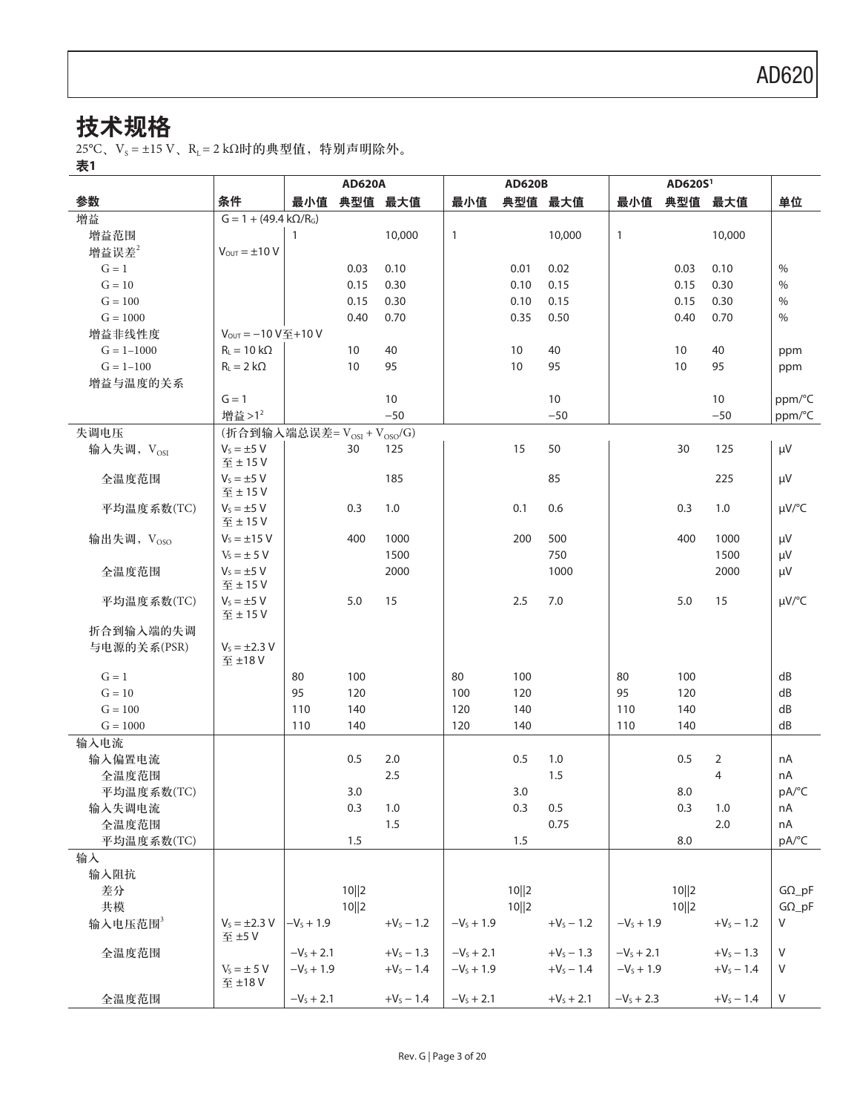# 技术规格

 $25^{\circ}$ C、V<sub>s</sub> = ±15 V、R<sub>L</sub> = 2 kΩ时的典型值, 特别声明除外。

表1

|                     |                                       |              | <b>AD620A</b> |              |              | <b>AD620B</b> |                |              | AD620S <sup>1</sup> |              |                |
|---------------------|---------------------------------------|--------------|---------------|--------------|--------------|---------------|----------------|--------------|---------------------|--------------|----------------|
| 参数                  | 条件                                    | 最小值          |               | 典型值 最大值      | 最小值          |               | 典型值 最大值        | 最小值          | 典型值                 | 最大值          | 单位             |
| 增益                  | $G = 1 + (49.4 \text{ k}\Omega/R)$    |              |               |              |              |               |                |              |                     |              |                |
| 增益范围                |                                       | $\mathbf{1}$ |               | 10,000       | $\mathbf{1}$ |               | 10,000         | $\mathbf{1}$ |                     | 10,000       |                |
| 增益误差 $2$            | $V_{\text{OUT}} = \pm 10 V$           |              |               |              |              |               |                |              |                     |              |                |
| $G = 1$             |                                       |              | 0.03          | 0.10         |              | 0.01          | 0.02           |              | 0.03                | 0.10         | $\frac{0}{0}$  |
| $G = 10$            |                                       |              | 0.15          | 0.30         |              | 0.10          | 0.15           |              | 0.15                | 0.30         | $\%$           |
| $G = 100$           |                                       |              | 0.15          | 0.30         |              | 0.10          | 0.15           |              | 0.15                | 0.30         | $\%$           |
| $G = 1000$          |                                       |              | 0.40          | 0.70         |              | 0.35          | 0.50           |              | 0.40                | 0.70         | %              |
| 增益非线性度              | $V_{\text{OUT}} = -10 V \leq +10 V$   |              |               |              |              |               |                |              |                     |              |                |
| $G = 1 - 1000$      | $R_1 = 10 k\Omega$                    |              | 10            | 40           |              | 10            | 40             |              | 10                  | 40           | ppm            |
| $G = 1 - 100$       | $R_1 = 2 k\Omega$                     |              | 10            | 95           |              | 10            | 95             |              | 10                  | 95           | ppm            |
| 增益与温度的关系            |                                       |              |               |              |              |               |                |              |                     |              |                |
|                     | $G = 1$                               |              |               | 10           |              |               | 10             |              |                     | 10           | ppm/°C         |
|                     | 增益>12                                 |              |               | $-50$        |              |               | $-50$          |              |                     | $-50$        | ppm/°C         |
| 失调电压                | (折合到输入端总误差= $V_{OSI}$ + $V_{OSO}/G$ ) |              |               |              |              |               |                |              |                     |              |                |
| 输入失调, $V_{OSI}$     | $V_s = \pm 5$ V<br>至±15V              |              | 30            | 125          |              | 15            | 50             |              | 30                  | 125          | μV             |
| 全温度范围               | $V_s = \pm 5$ V<br>至±15V              |              |               | 185          |              |               | 85             |              |                     | 225          | μV             |
| 平均温度系数(TC)          | $V_s = \pm 5$ V<br>至±15V              |              | 0.3           | 1.0          |              | 0.1           | 0.6            |              | 0.3                 | 1.0          | $\mu V$ /°C    |
| 输出失调, $V_{OSO}$     | $V_s = \pm 15$ V                      |              | 400           | 1000         |              | 200           | 500            |              | 400                 | 1000         | μV             |
|                     | $V_s = \pm 5 V$                       |              |               | 1500         |              |               | 750            |              |                     | 1500         | μV             |
| 全温度范围               | $V_s = \pm 5$ V<br>至±15V              |              |               | 2000         |              |               | 1000           |              |                     | 2000         | μV             |
| 平均温度系数(TC)          | $V_s = \pm 5$ V<br>至±15V              |              | 5.0           | 15           |              | 2.5           | 7.0            |              | 5.0                 | 15           | $\mu V$ /°C    |
| 折合到输入端的失调           |                                       |              |               |              |              |               |                |              |                     |              |                |
| 与电源的关系(PSR)         | $V_s = \pm 2.3 V$<br>至 ±18V           |              |               |              |              |               |                |              |                     |              |                |
| $G = 1$             |                                       | 80           | 100           |              | 80           | 100           |                | 80           | 100                 |              | dB             |
| $G = 10$            |                                       | 95           | 120           |              | 100          | 120           |                | 95           | 120                 |              | dB             |
| $G = 100$           |                                       | 110          | 140           |              | 120          | 140           |                | 110          | 140                 |              | dB             |
| $G = 1000$          |                                       | 110          | 140           |              | 120          | 140           |                | 110          | 140                 |              | dB             |
| 输入电流                |                                       |              |               |              |              |               |                |              |                     |              |                |
| 输入偏置电流              |                                       |              | 0.5           | 2.0          |              | 0.5           | 1.0            |              | 0.5                 | 2            | nA             |
| 全温度范围               |                                       |              |               | 2.5          |              |               | 1.5            |              |                     | 4            | nA             |
| 平均温度系数(TC)          |                                       |              | 3.0           |              |              | 3.0           |                |              | 8.0                 |              | pA/°C          |
| 输入失调电流              |                                       |              | 0.3           | 1.0          |              | 0.3           | 0.5            |              | 0.3                 | 1.0          | nA             |
| 全温度范围               |                                       |              |               | 1.5          |              |               | 0.75           |              |                     | 2.0          | nA             |
| 平均温度系数(TC)          |                                       |              | 1.5           |              |              | 1.5           |                |              | 8.0                 |              | pA/°C          |
| 输入                  |                                       |              |               |              |              |               |                |              |                     |              |                |
| 输入阻抗                |                                       |              |               |              |              |               |                |              |                     |              |                |
| 差分                  |                                       |              | 10  2         |              |              | 10  2         |                |              | 10  2               |              | $G\Omega_{p}F$ |
| 共模                  |                                       |              | 10  2         |              |              | 10  2         |                |              | 10  2               |              | $G\Omega_{p}F$ |
| 输入电压范围 <sup>3</sup> | $V_s = \pm 2.3 V$<br>至 ±5V            | $-V_s + 1.9$ |               | $+V_S - 1.2$ | $-VS + 1.9$  |               | $+V_5 - 1.2$   | $-V_s + 1.9$ |                     | $+V_S - 1.2$ | V              |
| 全温度范围               |                                       | $-Vs + 2.1$  |               | $+V_S - 1.3$ | $-VS + 2.1$  |               | $+V_S - 1.3$   | $-VS + 2.1$  |                     | $+V_s - 1.3$ | V              |
|                     | $V_s = \pm 5$ V<br>至 ±18 V            | $-V_s + 1.9$ |               | $+V_s - 1.4$ | $-V_s + 1.9$ |               | $+V_S - 1.4$   | $-VS + 1.9$  |                     | $+V_5 - 1.4$ | V              |
| 全温度范围               |                                       | $-V_s + 2.1$ |               | $+V_S - 1.4$ | $-V_s + 2.1$ |               | $+V_{s} + 2.1$ | $-V_s + 2.3$ |                     | $+V_S - 1.4$ | $\vee$         |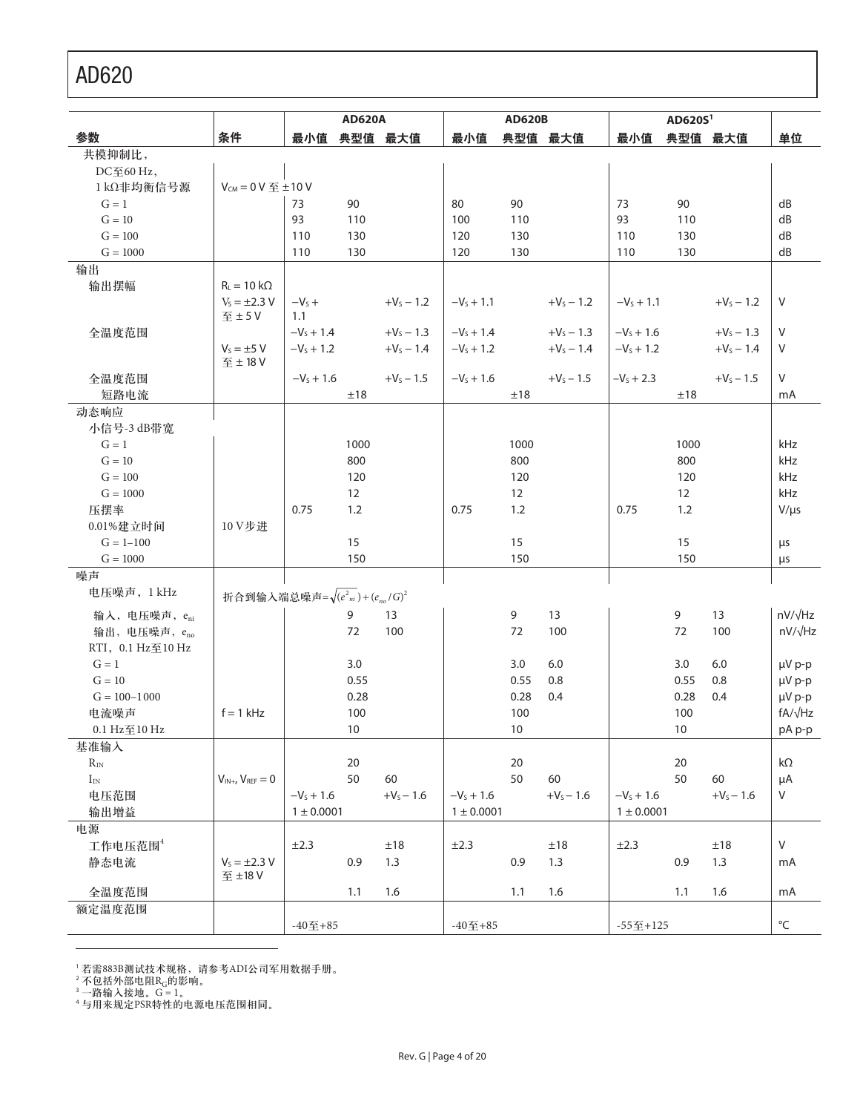|                           |                                             |                | <b>AD620A</b>   |              |                | <b>AD620B</b> |              |                | AD620S <sup>1</sup> |              |                   |
|---------------------------|---------------------------------------------|----------------|-----------------|--------------|----------------|---------------|--------------|----------------|---------------------|--------------|-------------------|
| 参数                        | 条件                                          | 最小值            |                 | 典型值 最大值      | 最小值            |               | 典型值 最大值      | 最小值            |                     | 典型值 最大值      | 单位                |
| 共模抑制比,                    |                                             |                |                 |              |                |               |              |                |                     |              |                   |
| DC至60 Hz,                 |                                             |                |                 |              |                |               |              |                |                     |              |                   |
| 1kΩ非均衡信号源                 | $V_{CM} = 0 V \leq \pm 10 V$                |                |                 |              |                |               |              |                |                     |              |                   |
| $G = 1$                   |                                             | 73             | 90              |              | 80             | 90            |              | 73             | 90                  |              | dB                |
| $G = 10$                  |                                             | 93             | 110             |              | 100            | 110           |              | 93             | 110                 |              | dB                |
| $G = 100$                 |                                             | 110            | 130             |              | 120            | 130           |              | 110            | 130                 |              | dB                |
| $G = 1000$                |                                             | 110            | 130             |              | 120            | 130           |              | 110            | 130                 |              | dB                |
| 输出                        |                                             |                |                 |              |                |               |              |                |                     |              |                   |
| 输出摆幅                      | $R_L = 10 k\Omega$                          |                |                 |              |                |               |              |                |                     |              |                   |
|                           | $V_s = \pm 2.3 V$                           | $-VS +$        |                 | $+V_5 - 1.2$ | $-V_s + 1.1$   |               | $+V_s - 1.2$ | $-V_s + 1.1$   |                     | $+V_5 - 1.2$ | V                 |
|                           | 至±5V                                        | 1.1            |                 |              |                |               |              |                |                     |              |                   |
| 全温度范围                     |                                             | $-VS + 1.4$    |                 | $+V_s - 1.3$ | $-VS + 1.4$    |               | $+V_5 - 1.3$ | $-V_s + 1.6$   |                     | $+V_5 - 1.3$ | $\vee$            |
|                           | $V_s = \pm 5$ V<br>至±18V                    | $-VS + 1.2$    |                 | $+V_5 - 1.4$ | $-VS + 1.2$    |               | $+V_5 - 1.4$ | $-VS + 1.2$    |                     | $+V_s - 1.4$ | V                 |
| 全温度范围                     |                                             | $-V_s + 1.6$   |                 | $+V_s - 1.5$ | $-V_s + 1.6$   |               | $+V_s - 1.5$ | $-VS + 2.3$    |                     | $+V_s - 1.5$ | V                 |
| 短路电流                      |                                             |                | ±18             |              |                | ±18           |              |                | ±18                 |              | mA                |
| 动态响应                      |                                             |                |                 |              |                |               |              |                |                     |              |                   |
| 小信号-3 dB带宽                |                                             |                |                 |              |                |               |              |                |                     |              |                   |
| $G = 1$                   |                                             |                | 1000            |              |                | 1000          |              |                | 1000                |              | kHz               |
| $G = 10$                  |                                             |                | 800             |              |                | 800           |              |                | 800                 |              | kHz               |
| $G = 100$                 |                                             |                | 120             |              |                | 120           |              |                | 120                 |              | kHz               |
| $G = 1000$                |                                             |                | 12              |              |                | 12            |              |                | 12                  |              | kHz               |
| 压摆率                       |                                             | 0.75           | 1.2             |              | 0.75           | 1.2           |              | 0.75           | 1.2                 |              | $V/\mu s$         |
| 0.01%建立时间                 | 10 V步进                                      |                |                 |              |                |               |              |                |                     |              |                   |
| $G = 1 - 100$             |                                             |                | 15              |              |                | 15            |              |                | 15                  |              | μs                |
| $G = 1000$                |                                             |                | 150             |              |                | 150           |              |                | 150                 |              | μs                |
| 噪声                        |                                             |                |                 |              |                |               |              |                |                     |              |                   |
| 电压噪声, 1 kHz               | 折合到输入端总噪声= $\sqrt{(e_{ni}^2)+(e_{no}/G)^2}$ |                |                 |              |                |               |              |                |                     |              |                   |
| 输入, 电压噪声, e <sub>ni</sub> |                                             |                | 9               | 13           |                | 9             | 13           |                | 9                   | 13           | $nV/\sqrt{Hz}$    |
| 输出, 电压噪声, eno             |                                             |                | 72              | 100          |                | 72            | 100          |                | 72                  | 100          | nV/√Hz            |
| RTI, 0.1 Hz至10 Hz         |                                             |                |                 |              |                |               |              |                |                     |              |                   |
| $G = 1$                   |                                             |                | 3.0             |              |                | 3.0           | 6.0          |                | 3.0                 | 6.0          | $\mu V$ p-p       |
| $G = 10$                  |                                             |                | 0.55            |              |                | 0.55          | 0.8          |                | 0.55                | 0.8          | $\mu V$ p-p       |
| $G = 100 - 1000$          |                                             |                | 0.28            |              |                | 0.28          | 0.4          |                | 0.28                | 0.4          | µV p-p            |
| 电流噪声                      | $f = 1$ kHz                                 |                | 100             |              |                | 100           |              |                | 100                 |              | $fA/\sqrt{Hz}$    |
| $0.1 \text{ Hz}$ 至10 Hz   |                                             |                | 10 <sup>°</sup> |              |                | 10            |              |                | 10                  |              | pA p-p            |
| 基准输入                      |                                             |                |                 |              |                |               |              |                |                     |              |                   |
| $R_{\rm IN}$              |                                             |                | 20              |              |                | 20            |              |                | 20                  |              | $k\Omega$         |
| $I_{\rm IN}$              | $V_{IN+}$ , $V_{REF}=0$                     |                | 50              | 60           |                | 50            | 60           |                | 50                  | 60           | μA                |
| 电压范围                      |                                             | $-V_s + 1.6$   |                 | $+V_S - 1.6$ | $-V_s + 1.6$   |               | $+V_S - 1.6$ | $-V_s + 1.6$   |                     | $+V_S - 1.6$ | $\mathsf{V}$      |
| 输出增益                      |                                             | $1 \pm 0.0001$ |                 |              | $1 \pm 0.0001$ |               |              | $1 \pm 0.0001$ |                     |              |                   |
| 电源                        |                                             |                |                 |              |                |               |              |                |                     |              |                   |
| 工作电压范围4                   |                                             | ±2.3           |                 | $\pm 18$     | ±2.3           |               | ±18          | ±2.3           |                     | ±18          | $\mathsf V$       |
| 静态电流                      | $V_s = \pm 2.3 V$                           |                | 0.9             | 1.3          |                | 0.9           | 1.3          |                | 0.9                 | 1.3          | mA                |
| 全温度范围                     | 至 ±18 V                                     |                | 1.1             | 1.6          |                | 1.1           | 1.6          |                | 1.1                 | 1.6          | mA                |
| 额定温度范围                    |                                             |                |                 |              |                |               |              |                |                     |              |                   |
|                           |                                             | $-40$ 至 $+85$  |                 |              | $-40$ 至+85     |               |              | $-552+125$     |                     |              | $^{\circ}{\sf C}$ |
|                           |                                             |                |                 |              |                |               |              |                |                     |              |                   |

' 若需883B测试技术规格,请参考ADI公司军用数据手册。

<sup>2</sup> 不包括外部电阻R<sub>G</sub>的影响。<br><sup>3</sup> 一路输入接地。G = 1。

 $\overline{a}$ 

"与用来规定PSR特性的电源电压范围相同。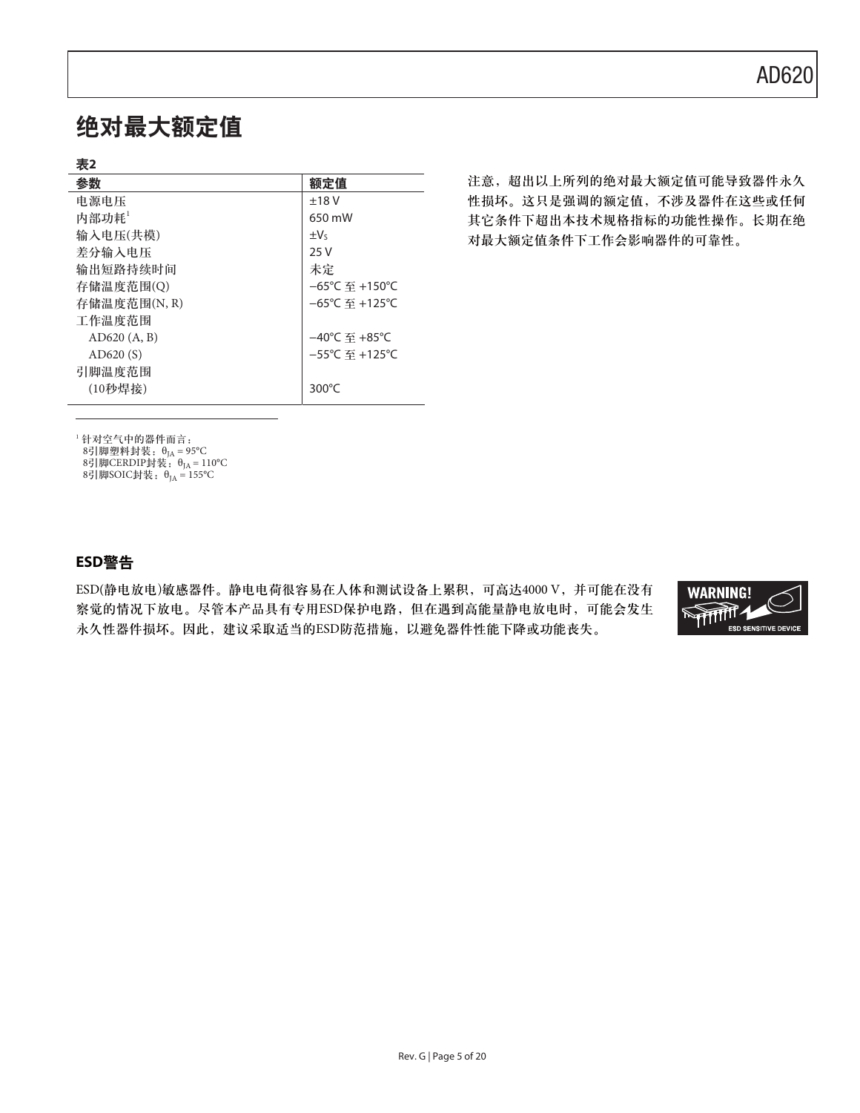# 绝对最大额定值

### 表2

| 参数           | 额定值                                 |
|--------------|-------------------------------------|
| 电源电压         | ±18V                                |
| 内部功耗         | 650 mW                              |
| 输入电压(共模)     | $\pm V_5$                           |
| 差分输入电压       | 25 V                                |
| 输出短路持续时间     | 未定                                  |
| 存储温度范围(O)    | $-65^{\circ}$ C 至 +150 $^{\circ}$ C |
| 存储温度范围(N, R) | $-65^{\circ}$ C 至 +125 $^{\circ}$ C |
| 工作温度范围       |                                     |
| AD620(A, B)  | $-40^{\circ}$ C 至 +85 $^{\circ}$ C  |
| AD620(S)     | $-55^{\circ}$ C 至 +125 $^{\circ}$ C |
| 引脚温度范围       |                                     |
| (10秒焊接)      | 300 $\degree$ C                     |

注意, 超出以上所列的绝对最大额定值可能导致器件永久 性损坏。这只是强调的额定值,不涉及器件在这些或任何 其它条件下超出本技术规格指标的功能性操作。长期在绝 对最大额定值条件下工作会影响器件的可靠性。

1 针对空气中的器件而言:

8引脚塑料封装: $\theta_{JA} = 95^{\circ}$ C

8引脚CERDIP封装:θ<sub>JA</sub> = 110°C 8引脚SOIC封装:  $θ_{IA} = 155°C$ 

### ߢ**ESD**য়

ESD(静电放电)敏感器件。静电电荷很容易在人体和测试设备上累积,可高达4000 V,并可能在没有 察觉的情况下放电。尽管本产品具有专用ESD保护电路,但在遇到高能量静电放电时,可能会发生 永久性器件损坏。因此,建议采取适当的ESD防范措施,以避免器件性能下降或功能丧失。

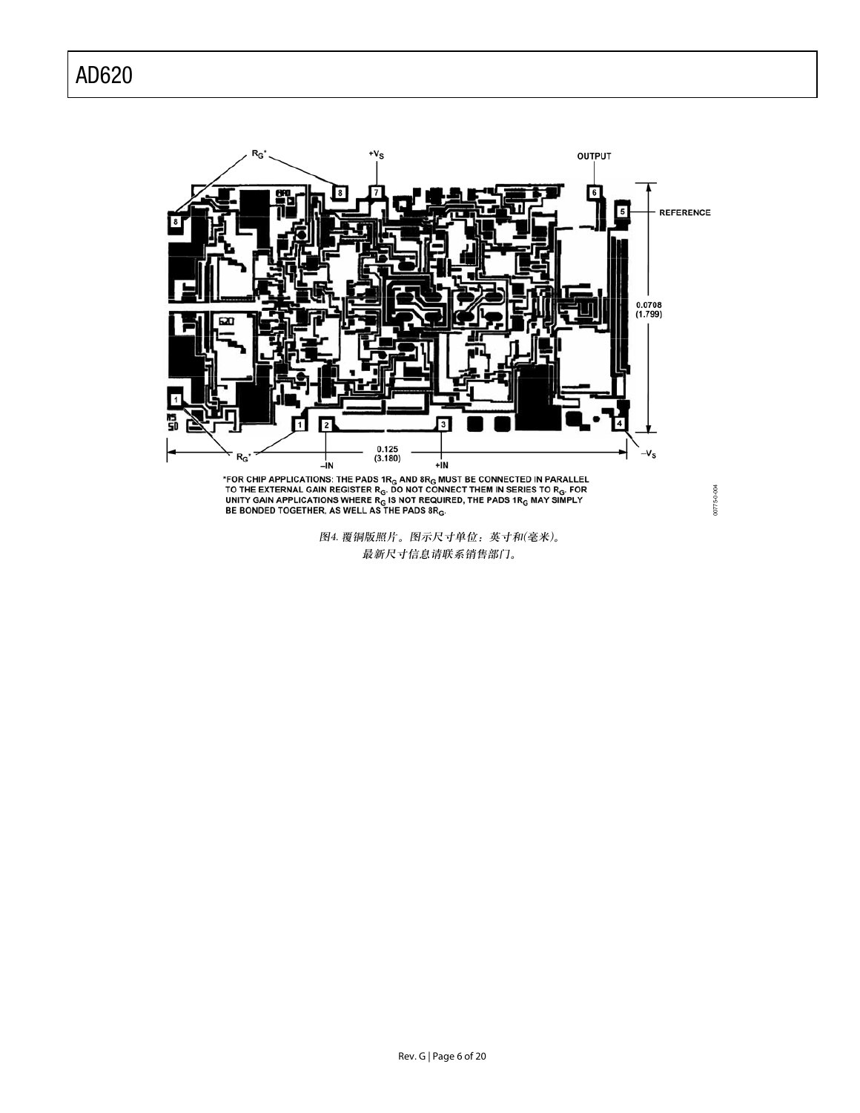

\*FOR CHIP APPLICATIONS: THE PADS 1R<sub>G</sub> AND 8R<sub>G</sub> MUST BE CONNECTED IN PARALLEL<br>TO THE EXTERNAL GAIN REGISTER R<sub>G</sub>. DO NOT CONNECT THEM IN SERIES TO R<sub>G</sub>. FOR<br>UNITY GAIN APPLICATIONS WHERE R<sub>G</sub> IS NOT REQUIRED, THE PADS 1R

图4. 覆铜版照片。图示尺寸单位: 英寸和(毫米)。 最新尺寸信息请联系销售部门。

Rev. G | Page 6 of 20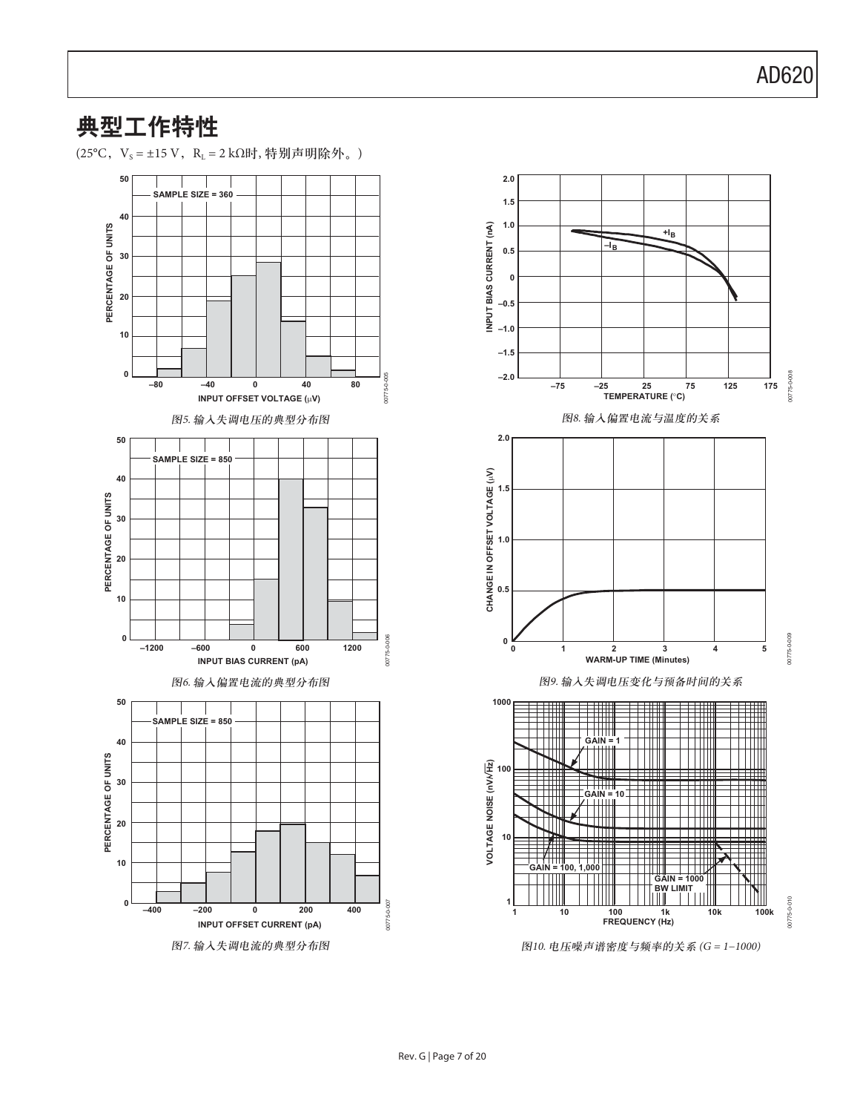# 典型工作特性

(25°C, V<sub>s</sub> = ±15 V, R<sub>L</sub> = 2 kΩ时, 特别声明除外。)





图10. 电压噪声谱密度与频率的关系 (G = 1-1000)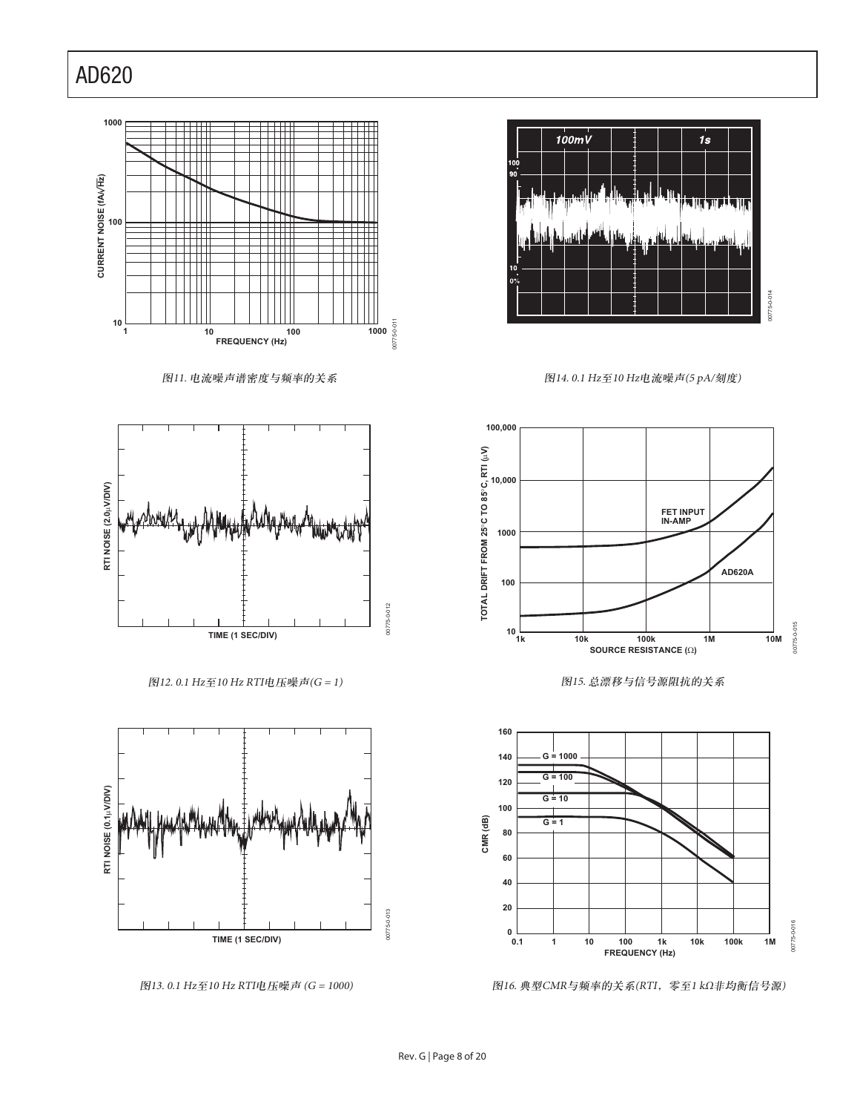

图11. 电流噪声谱密度与频率的关系



 $[8]$ 12. 0.1 Hz至10 Hz RTI电压噪声(G = 1)



图13. 0.1 Hz至10 Hz RTI电压噪声 (G = 1000)



图14. 0.1 Hz至10 Hz电流噪声(5 pA/刻度)



图15. 总漂移与信号源阻抗的关系



图16. 典型CMR与频率的关系(RTI, 零至1 kΩ非均衡信号源)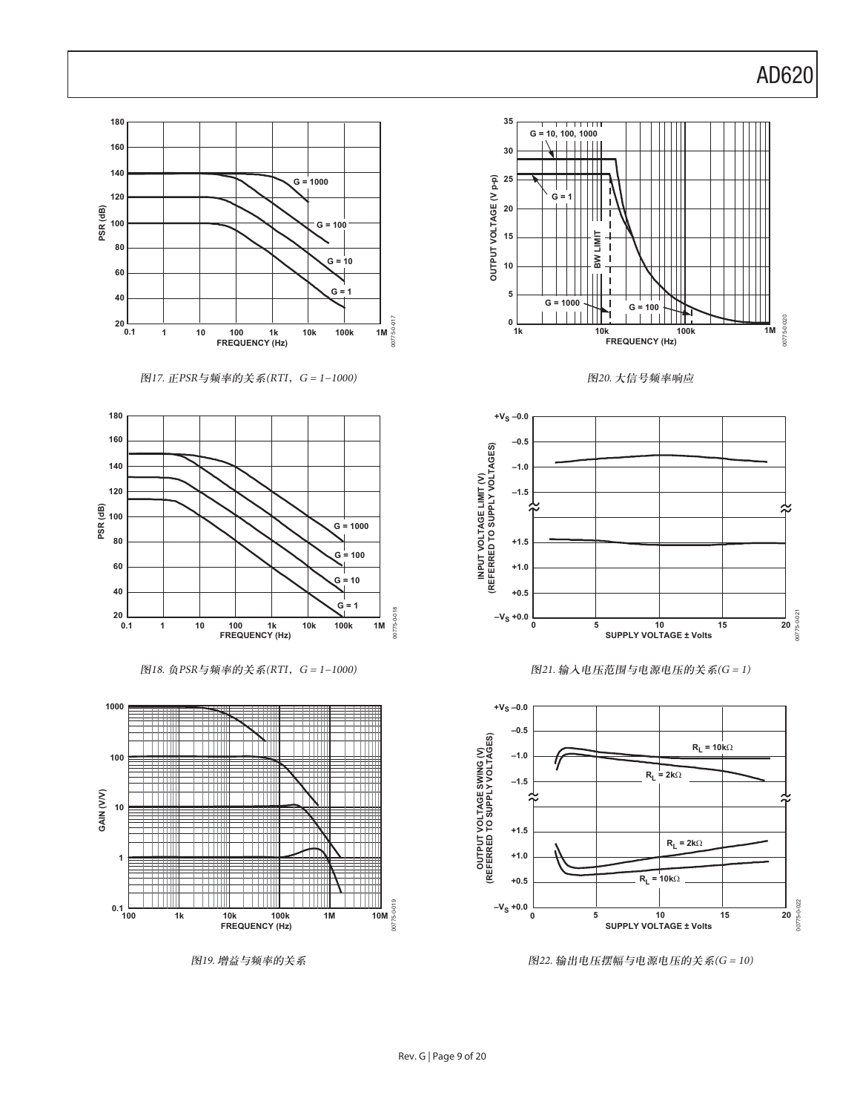

图17. 正PSR与频率的关系(RTI, G = 1-1000)



图18. 负PSR与频率的关系(RTI, G = 1-1000)



图19. 增益与频率的关系



图20. 大信号频率响应







图22. 输出电压摆幅与电源电压的关系(G = 10)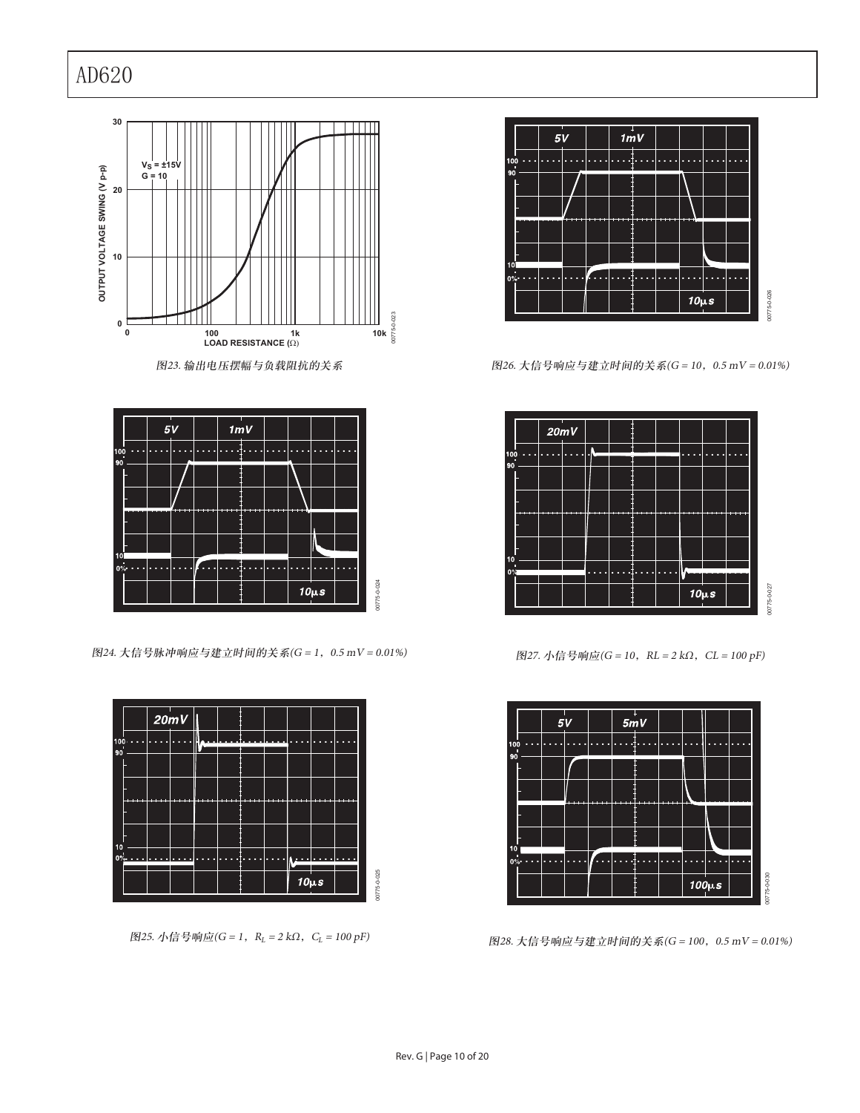



图24. 大信号脉冲响应与建立时间的关系(G = 1, 0.5 mV = 0.01%)



图25. 小信号响应(G = 1, R<sub>L</sub> = 2 kΩ, C<sub>L</sub> = 100 pF)



图26. 大信号响应与建立时间的关系(G = 10, 0.5 mV = 0.01%)



 $\mathbb{R}$ 27. 小信号响应(G = 10, RL = 2 kΩ, CL = 100 pF)



图28. 大信号响应与建立时间的关系(G = 100, 0.5 mV = 0.01%)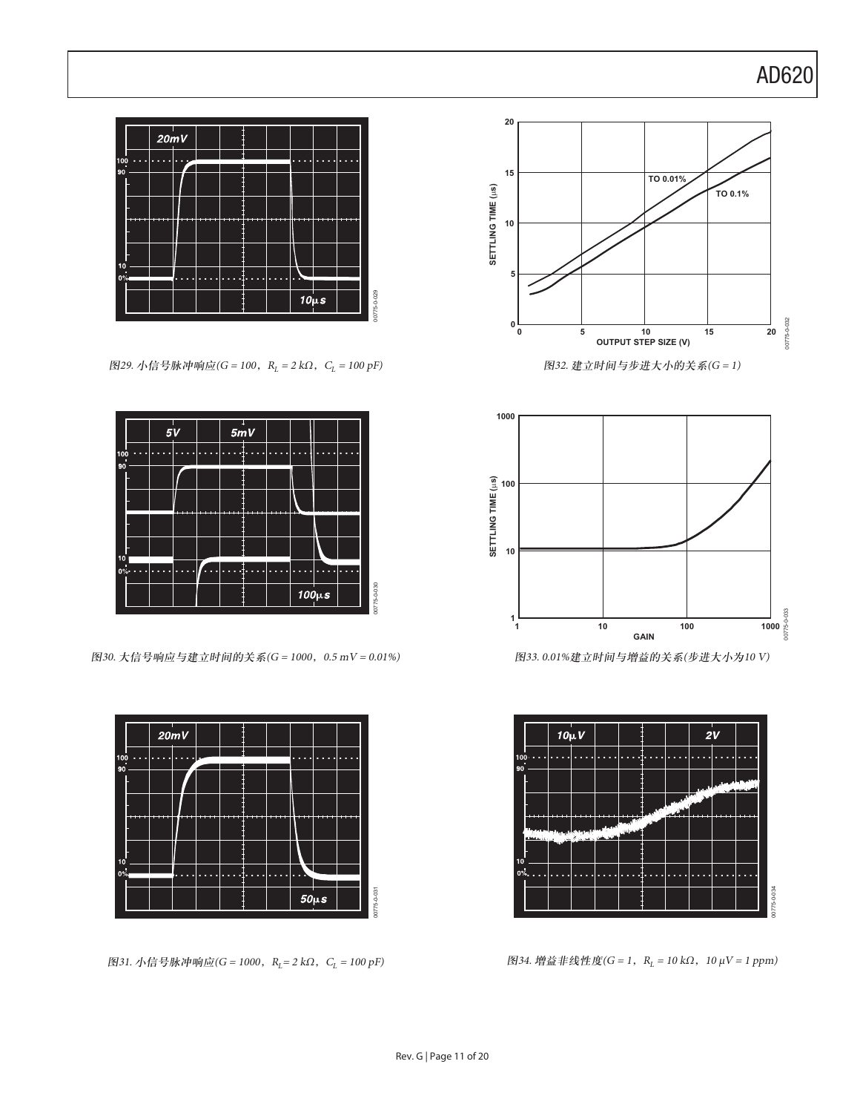

图29. 小信号脉冲响应(G = 100, R<sub>L</sub> = 2 kΩ, C<sub>L</sub> = 100 pF)



图30. 大信号响应与建立时间的关系(G = 1000, 0.5 mV = 0.01%)



图31. 小信号脉冲响应(G = 1000, R<sub>L</sub> = 2 kΩ, C<sub>L</sub> = 100 pF)





 $[8]$ 33. 0.01%建立时间与增益的关系(步进大小为10 V)



 $B$ 34. 增益非线性度(G = 1, R<sub>L</sub> = 10 kΩ, 10 μV = 1 ppm)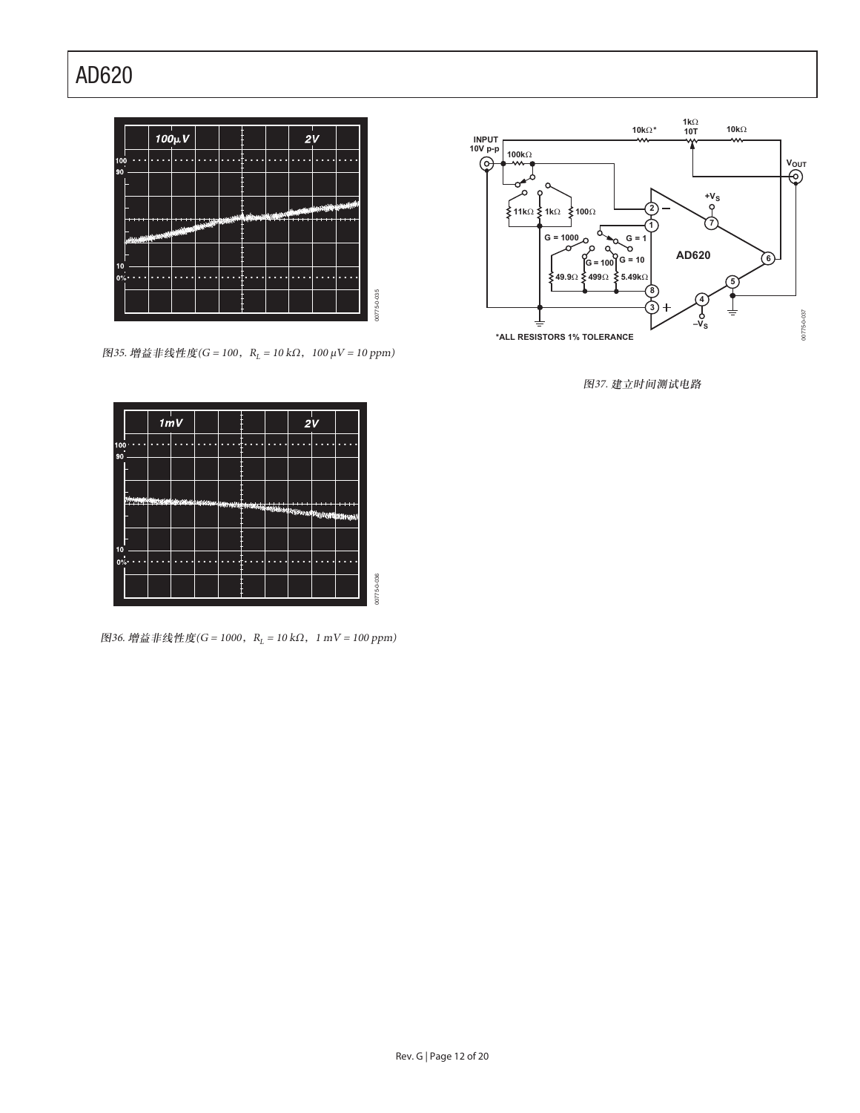

 $\text{M35.}$  增益非线性度(G = 100, R<sub>L</sub> = 10 kΩ, 100 μV = 10 ppm)



 $B$ 36. 增益非线性度(G = 1000, R<sub>L</sub> = 10 kΩ, 1 mV = 100 ppm)



图37. 建立时间测试电路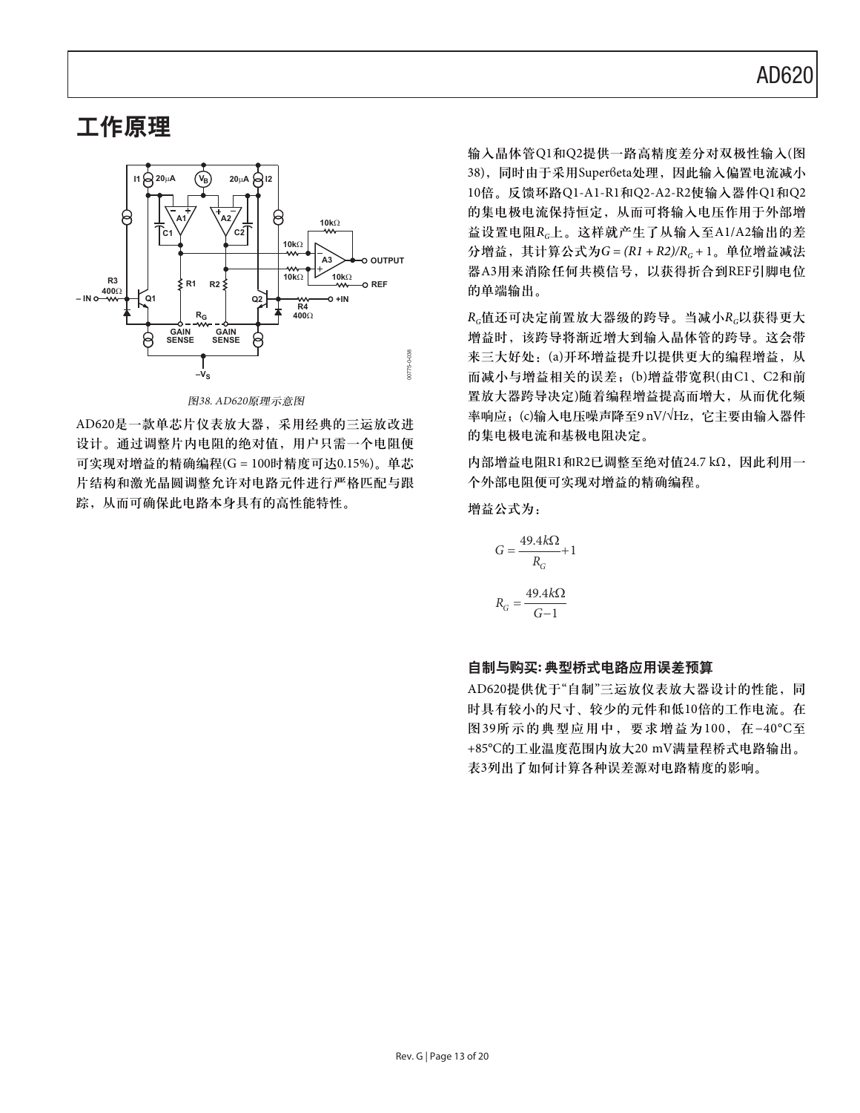### 工作原理



图38. AD620原理示意图

AD620是一款单芯片仪表放大器,采用经典的三运放改进 设计。通过调整片内电阻的绝对值,用户只需一个电阻便 可实现对增益的精确编程(G = 100时精度可达0.15%)。单芯 片结构和激光晶圆调整允许对电路元件进行严格匹配与跟 踪, 从而可确保此电路本身具有的高性能特性。

输入晶体管Q1和Q2提供一路高精度差分对双极性输入(图 38), 同时由于采用Super6eta处理, 因此输入偏置电流减小 10倍。反馈环路Q1-A1-R1和Q2-A2-R2使输入器件Q1和Q2 的集电极电流保持恒定, 从而可将输入电压作用于外部增 益设置电阻R<sub>G</sub>上。这样就产生了从输入至A1/A2输出的差 分增益, 其计算公式为 $G = (R1 + R2)/R_c + 1$ 。单位增益减法 器A3用来消除任何共模信号, 以获得折合到REF引脚电位 的单端输出。

 $R_c$ 值还可决定前置放大器级的跨导。当减小 $R_c$ 以获得更大 增益时,该跨导将渐近增大到输入晶体管的跨导。这会带 来三大好处: (a)开环增益提升以提供更大的编程增益, 从 而减小与增益相关的误差;(b)增益带宽积(由C1、C2和前 置放大器跨导决定)随着编程增益提高而增大, 从而优化频 率响应;(c)输入电压噪声降至9 nV/VHz, 它主要由输入器件 的集电极电流和基极电阻决定。

内部增益电阻R1和R2已调整至绝对值24.7 kΩ, 因此利用一 个外部电阻便可实现对增益的精确编程。

增益公式为:

$$
G = \frac{49.4k\Omega}{R_G} + 1
$$
  

$$
R_G = \frac{49.4k\Omega}{G - 1}
$$

#### 自制与购买: 典型桥式电路应用误差预算

AD620提供优于"自制"三运放仪表放大器设计的性能,同 时具有较小的尺寸、较少的元件和低10倍的工作电流。在 图39所示的典型应用中, 要求增益为100, 在-40°C至 +85°C的工业温度范围内放大20 mV满量程桥式电路输出。 表3列出了如何计算各种误差源对电路精度的影响。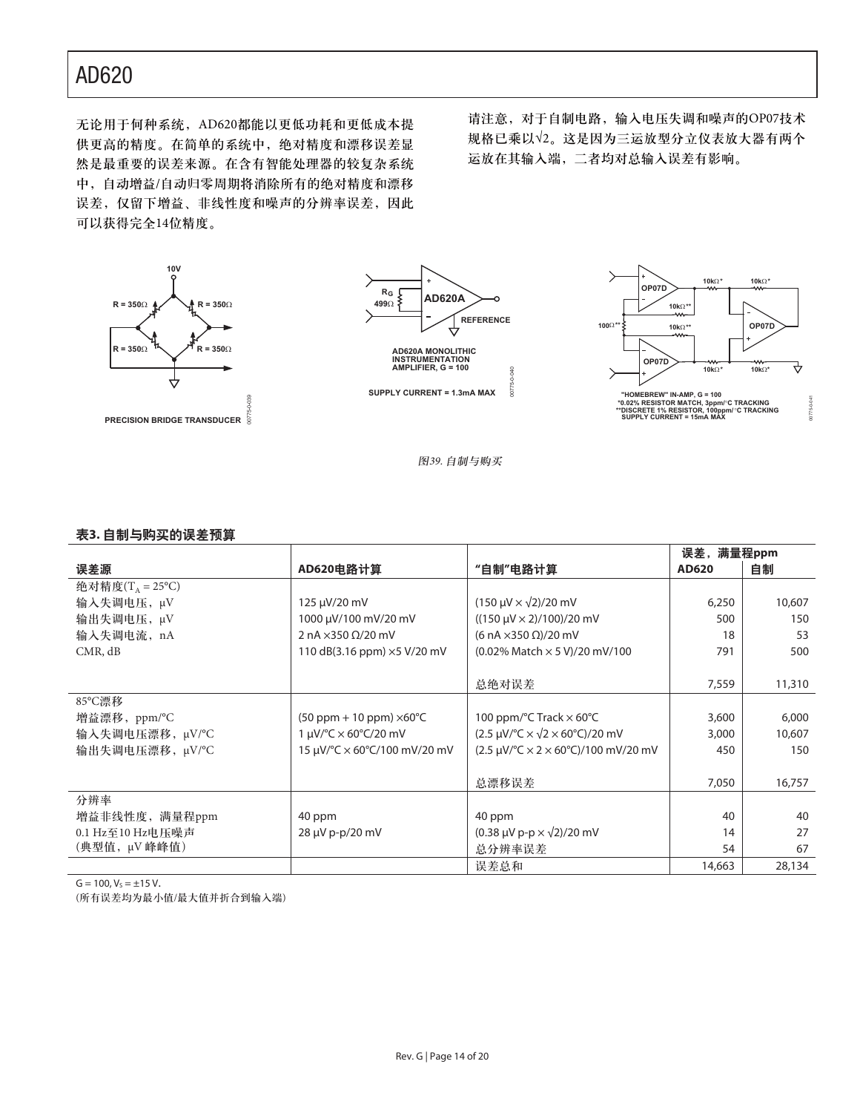无论用于何种系统, AD620都能以更低功耗和更低成本提 供更高的精度。在简单的系统中,绝对精度和漂移误差显 然是最重要的误差来源。在含有智能处理器的较复杂系统 中, 自动增益/自动归零周期将消除所有的绝对精度和漂移 误差, 仅留下增益、非线性度和噪声的分辨率误差, 因此 可以获得完全14位精度。

00775-0-039

请注意, 对于自制电路, 输入电压失调和噪声的OP07技术 规格已乘以√2。这是因为三运放型分立仪表放大器有两个 运放在其输入端, 二者均对总输入误差有影响。







图39. 自制与购买



### 表3. 自制与购买的误差预算

|                     |                                                 |                                                                                  | 误差,满量程ppm |        |
|---------------------|-------------------------------------------------|----------------------------------------------------------------------------------|-----------|--------|
| 误差源                 | AD620电路计算                                       | "自制"电路计算                                                                         | AD620     | 自制     |
| 绝对精度 $(TA = 25$ °C) |                                                 |                                                                                  |           |        |
| 输入失调电压, µV          | 125 µV/20 mV                                    | $(150 \mu V \times \sqrt{2})/20 \text{ mV}$                                      | 6,250     | 10,607 |
| 输出失调电压, µV          | 1000 µV/100 mV/20 mV                            | $((150 \mu V \times 2)/100)/20 \text{ mV}$                                       | 500       | 150    |
| 输入失调电流, nA          | 2 nA $\times$ 350 $\Omega$ /20 mV               | $(6 nA \times 350 \Omega)/20 mV$                                                 | 18        | 53     |
| CMR, dB             | 110 dB(3.16 ppm) ×5 V/20 mV                     | (0.02% Match $\times$ 5 V)/20 mV/100                                             | 791       | 500    |
|                     |                                                 |                                                                                  |           |        |
|                     |                                                 | 总绝对误差                                                                            | 7,559     | 11,310 |
| 85°C漂移              |                                                 |                                                                                  |           |        |
| 增益漂移, ppm/°C        | $(50$ ppm + 10 ppm) $\times 60^{\circ}$ C       | 100 ppm/ $\degree$ C Track $\times$ 60 $\degree$ C                               | 3,600     | 6,000  |
| 输入失调电压漂移, µV/°C     | 1 µV/ $\degree$ C $\times$ 60 $\degree$ C/20 mV | $(2.5 \mu V)^{\circ}C \times \sqrt{2} \times 60^{\circ}C)/20 \text{ mV}$         | 3,000     | 10,607 |
| 输出失调电压漂移, μV/°C     | 15 µV/°C × 60°C/100 mV/20 mV                    | $(2.5 \mu V)^{\circ}C \times 2 \times 60^{\circ}C)/100 \text{ mV}/20 \text{ mV}$ | 450       | 150    |
|                     |                                                 |                                                                                  |           |        |
|                     |                                                 | 总漂移误差                                                                            | 7,050     | 16,757 |
| 分辨率                 |                                                 |                                                                                  |           |        |
| 增益非线性度,满量程ppm       | 40 ppm                                          | 40 ppm                                                                           | 40        | 40     |
| 0.1 Hz至10 Hz电压噪声    | 28 µV p-p/20 mV                                 | $(0.38 \,\mu\text{V p-p} \times \sqrt{2})/20 \,\text{mV}$                        | 14        | 27     |
| (典型值, μV 峰峰值)       |                                                 | 总分辨率误差                                                                           | 54        | 67     |
|                     |                                                 | 误差总和                                                                             | 14,663    | 28,134 |

 $G = 100, V_s = \pm 15 V.$ 

(所有误差均为最小值/最大值并折合到输入端)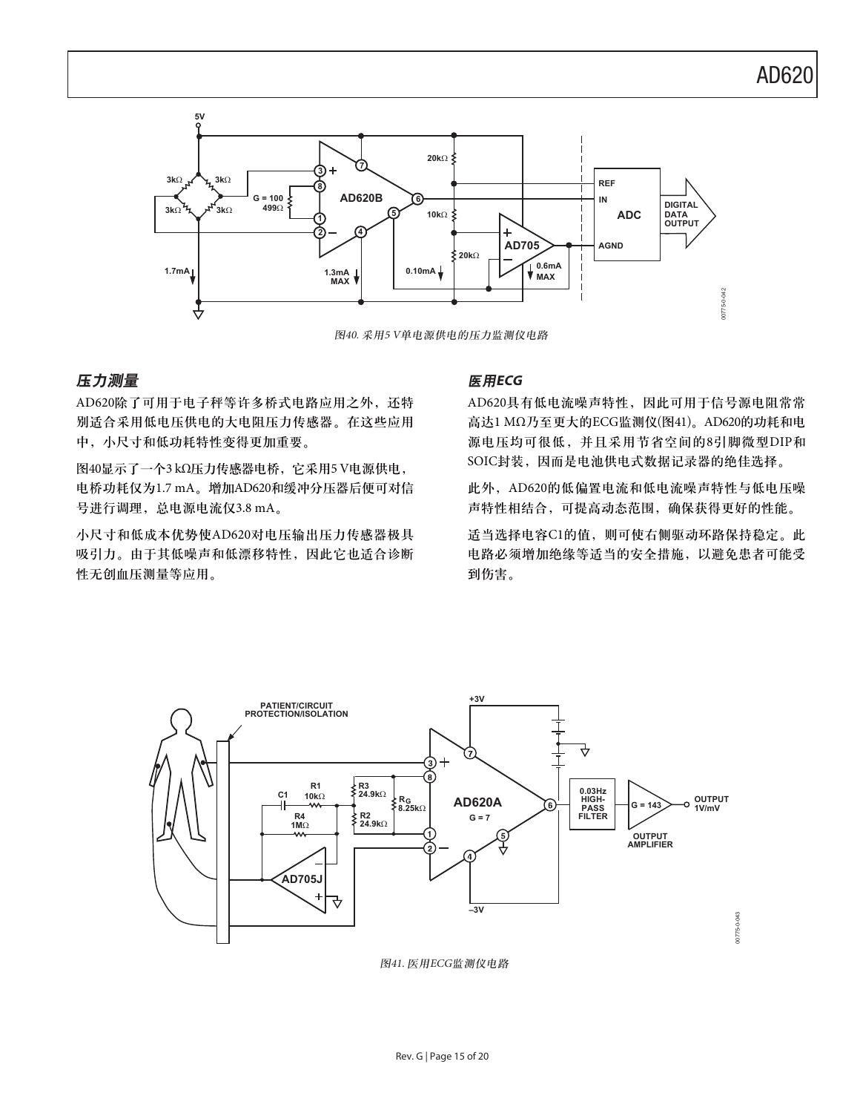

图40. 采用5 V单电源供电的压力监测仪电路

### 压力测量 医用ECG

AD620除了可用于电子秤等许多桥式电路应用之外, 还特 别适合采用低电压供电的大电阻压力传感器。在这些应用 中, 小尺寸和低功耗特性变得更加重要。

图40显示了一个3 kΩ压力传感器电桥, 它采用5 V电源供电, 电桥功耗仅为1.7 mA。增加AD620和缓冲分压器后便可对信 号进行调理, 总电源电流仅3.8 mA。

小尺寸和低成本优势使AD620对电压输出压力传感器极具 吸引力。由于其低噪声和低漂移特性, 因此它也适合诊断 性无创血压测量等应用。

AD620具有低电流噪声特性, 因此可用于信号源电阻常常 高达1 MΩ乃至更大的ECG监测仪(图41)。AD620的功耗和电 源电压均可很低,并且采用节省空间的8引脚微型DIP和 SOIC封装, 因而是电池供电式数据记录器的绝佳选择。

此外, AD620的低偏置电流和低电流噪声特性与低电压噪 声特性相结合,可提高动态范围,确保获得更好的性能。

适当选择电容C1的值,则可使右侧驱动环路保持稳定。此 电路必须增加绝缘等适当的安全措施,以避免患者可能受 到伤害。



图41. 医用ECG监测仪电路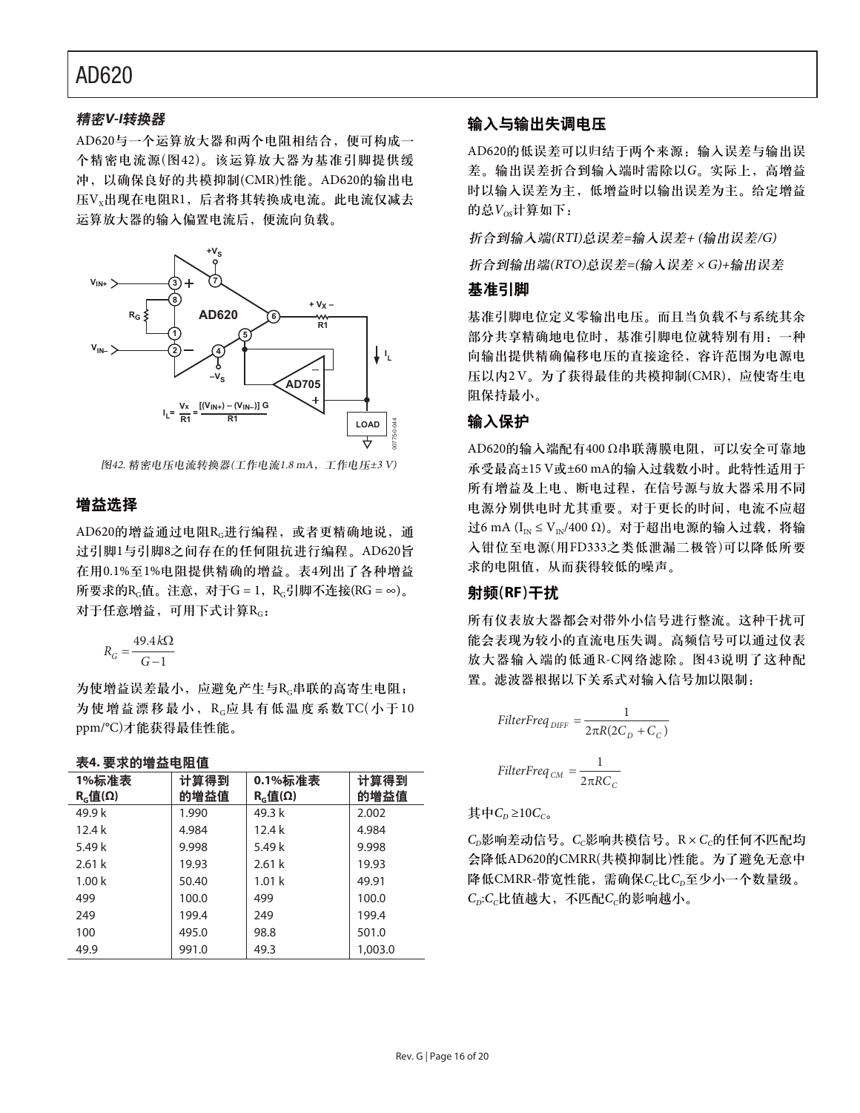### 精密V-I转换器

AD620与一个运算放大器和两个电阻相结合, 便可构成一 个精密电流源(图42)。该运算放大器为基准引脚提供缓 冲, 以确保良好的共模抑制(CMR)性能。AD620的输出电  $EV_xH$ 现在电阻R1, 后者将其转换成电流。此电流仅减去 运算放大器的输入偏置电流后, 便流向负载。



图42. 精密电压电流转换器(工作电流1.8 mA, 工作电压±3 V)

### 增益选择

AD620的增益通过电阻Rc进行编程, 或者更精确地说, 通 过引脚1与引脚8之间存在的任何阻抗进行编程。AD620旨 在用0.1%至1%电阻提供精确的增益。表4列出了各种增益 所要求的R $_G$ 值。注意, 对于G = 1, R $_G$ 引脚不连接(RG = ∞) $_G$ 对于任意增益,可用下式计算RG:

$$
R_G = \frac{49.4 \, k\Omega}{G - 1}
$$

为使增益误差最小, 应避免产生与Rc串联的高寄生电阻; 为使增益漂移最小,  $R_c$ 应具有低温度系数TC(小于10 ppm/°C)才能获得最佳性能。

#### 表4. 要求的增益电阻值

| 1%标准表<br>R <sub>G</sub> (f <sub>G</sub> (Ω) | 计算得到<br>的增益值 | 0.1%标准表<br>$RG$ 值(Ω) | 计算得到<br>的增益值 |
|---------------------------------------------|--------------|----------------------|--------------|
| 49.9 k                                      | 1.990        | 49.3 k               | 2.002        |
| 12.4k                                       | 4.984        | 12.4k                | 4.984        |
| 5.49 k                                      | 9.998        | 5.49 k               | 9.998        |
| 2.61k                                       | 19.93        | 2.61k                | 19.93        |
| 1.00 <sub>k</sub>                           | 50.40        | 1.01 <sub>k</sub>    | 49.91        |
| 499                                         | 100.0        | 499                  | 100.0        |
| 249                                         | 199.4        | 249                  | 199.4        |
| 100                                         | 495.0        | 98.8                 | 501.0        |
| 49.9                                        | 991.0        | 49.3                 | 1,003.0      |

### 输入与输出失调电压

AD620的低误差可以归结于两个来源: 输入误差与输出误 差。输出误差折合到输入端时需除以G。实际上, 高增益 时以输入误差为主, 低增益时以输出误差为主。给定增益 的总 $V_{\alpha}$ 计算如下:

折合到输入端(RTI)总误差=输入误差+ (输出误差/G)

折合到输出端(RTO)总误差=(输入误差 × G)+输出误差

### 基准引脚

基准引脚电位定义零输出电压。而且当负载不与系统其余 部分共享精确地电位时, 基准引脚电位就特别有用: 一种 向输出提供精确偏移电压的直接途径, 容许范围为电源电 压以内2V。为了获得最佳的共模抑制(CMR), 应使寄生电 阻保持最小。

### 输入保护

AD620的输入端配有400 Ω串联薄膜电阻, 可以安全可靠地 承受最高±15 V或±60 mA的输入过载数小时。此特性适用于 所有增益及上电、断电过程, 在信号源与放大器采用不同 电源分别供电时尤其重要。对于更长的时间, 电流不应超 过6 mA (I<sub>IN</sub> ≤ V<sub>IN</sub>/400 Ω)。对于超出电源的输入过载, 将输 入钳位至电源(用FD333之类低泄漏二极管)可以降低所要 求的电阻值, 从而获得较低的噪声。

### 射频(RF)干扰

所有仪表放大器都会对带外小信号进行整流。这种干扰可 能会表现为较小的直流电压失调。高频信号可以通过仪表 放大器输入端的低通R-C网络滤除。图43说明了这种配 置。滤波器根据以下关系式对输入信号加以限制:

$$
FilterFreq_{DIFF} = \frac{1}{2\pi R(2C_D + C_C)}
$$
  
FilterFreq<sub>CM</sub> = 
$$
\frac{1}{2\pi RC_C}
$$

其中 $C<sub>0</sub>$ ≥10 $C<sub>co</sub>$ 

 $C_D$ 影响差动信号。 $C_C$ 影响共模信号。 $R \times C_C$ 的任何不匹配均 会降低AD620的CMRR(共模抑制比)性能。为了避免无意中 降低CMRR-带宽性能,需确保Cc比Cr至少小一个数量级。  $C_p$ : $C_c$ 比值越大, 不匹配 $C_c$ 的影响越小。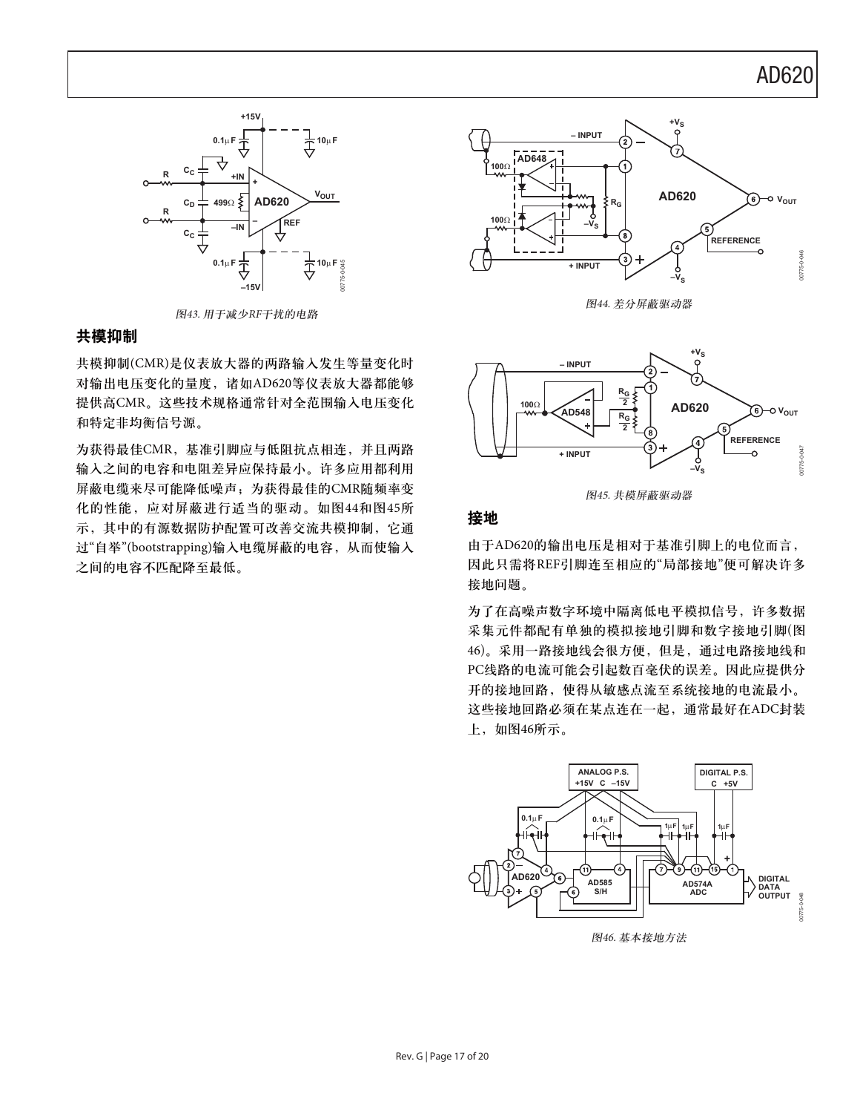

图43. 用于减少RF干扰的电路

### 共模抑制

共模抑制(CMR)是仪表放大器的两路输入发生等量变化时 对输出电压变化的量度, 诸如AD620等仪表放大器都能够 提供高CMR。这些技术规格通常针对全范围输入电压变化 和特定非均衡信号源。

为获得最佳CMR, 基准引脚应与低阻抗点相连, 并且两路 输入之间的电容和电阻差异应保持最小。许多应用都利用 屏蔽电缆来尽可能降低噪声;为获得最佳的CMR随频率变 化的性能, 应对屏蔽进行适当的驱动。如图44和图45所 示,其中的有源数据防护配置可改善交流共模抑制,它通 过"自举"(bootstrapping)输入电缆屏蔽的电容, 从而使输入 之间的电容不匹配降至最低。



图44. 差分屏蔽驱动器



图45. 共模屏蔽驱动器

### 接地

由于AD620的输出电压是相对于基准引脚上的电位而言, 因此只需将REF引脚连至相应的"局部接地"便可解决许多 接地问题。

为了在高噪声数字环境中隔离低电平模拟信号, 许多数据 采集元件都配有单独的模拟接地引脚和数字接地引脚(图 46)。采用一路接地线会很方便,但是,通过电路接地线和 PC线路的电流可能会引起数百毫伏的误差。因此应提供分 开的接地回路, 使得从敏感点流至系统接地的电流最小。 这些接地回路必须在某点连在一起, 通常最好在ADC封装 上,如图46所示。



图46. 基本接地方法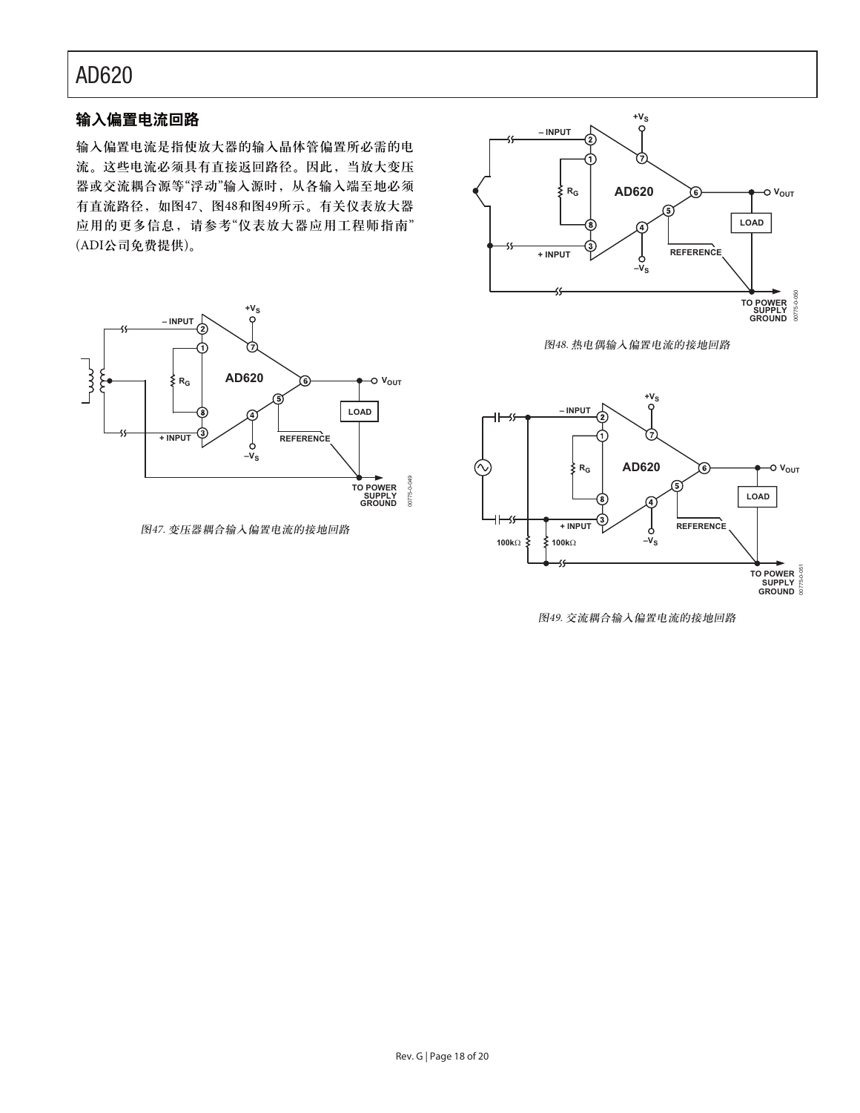### 输入偏置电流回路

输入偏置电流是指使放大器的输入晶体管偏置所必需的电 流。这些电流必须具有直接返回路径。因此, 当放大变压 器或交流耦合源等"浮动"输入源时, 从各输入端至地必须 有直流路径, 如图47、图48和图49所示。有关仪表放大器 应用的更多信息,请参考"仪表放大器应用工程师指南" (ADI公司免费提供)。



图47. 变压器耦合输入偏置电流的接地回路



图48. 热电偶输入偏置电流的接地回路



图49. 交流耦合输入偏置电流的接地回路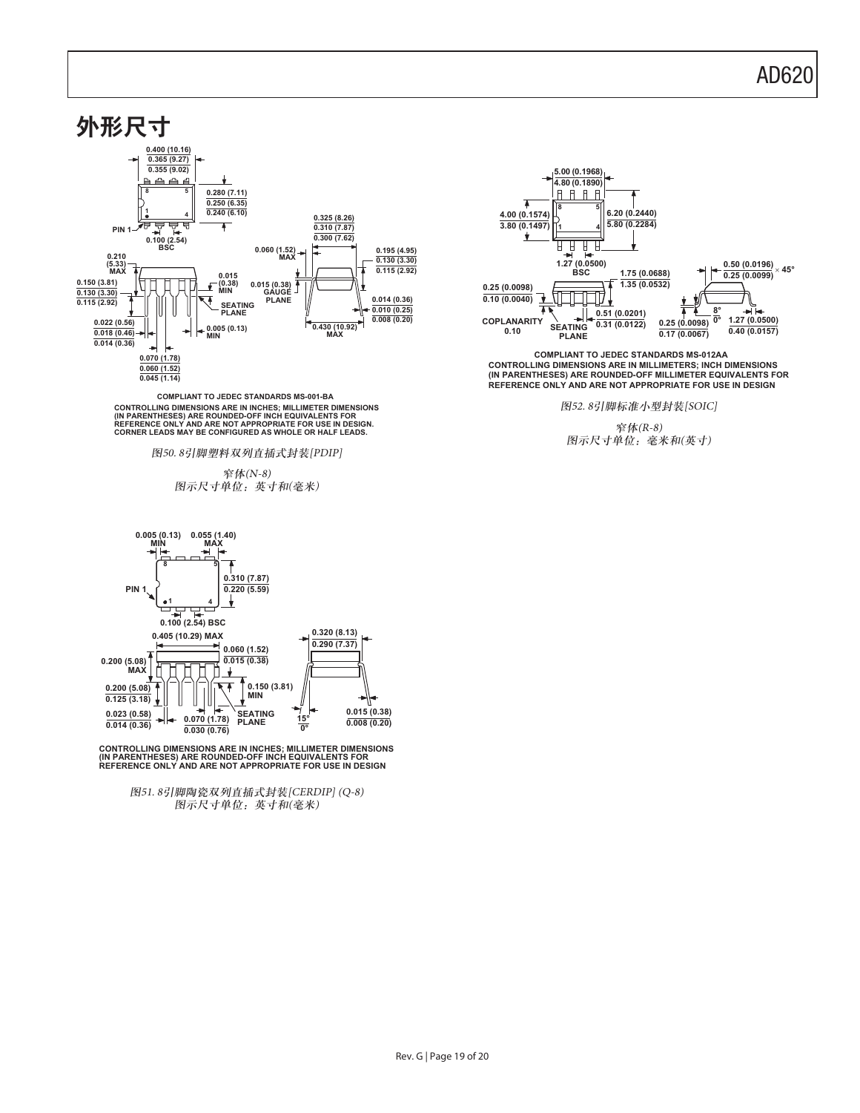

**COMPLIANT TO JEDEC STANDARDS MS-001-BA** CONTROLLING DIMENSIONS ARE IN INCHES; MILLIMETER DIMENSIONS<br>(IN PARENTHESES) ARE ROUNDED-OFF INCH EQUIVALENTS FOR<br>REFERENCE ONLY AND ARE NOT APPROPRIATE FOR USE IN DESIGN.<br>CORNER LEADS MAY BE CONFIGURED AS WHOLE OR HALF LE

图50.8引脚塑料双列直插式封装[PDIP]

༹(N-8) 图示尺寸单位: 英寸和(毫米)



CONTROLLING DIMENSIONS ARE IN INCHES; MILLIMETER DIMENSIONS<br>(IN PARENTHESES) ARE ROUNDED-OFF INCH EQUIVALENTS FOR<br>REFERENCE ONLY AND ARE NOT APPROPRIATE FOR USE IN DESIGN

图51.8引脚陶瓷双列直插式封装[CERDIP] (Q-8) 图示尺寸单位: 英寸和(毫米)



**CONTROLLING DIMENSIONS ARE IN MILLIMETERS; INCH DIMENSIONS (IN PARENTHESES) ARE ROUNDED-OFF MILLIMETER EQUIVALENTS FOR REFERENCE ONLY AND ARE NOT APPROPRIATE FOR USE IN DESIGN COMPLIANT TO JEDEC STANDARDS MS-012AA**

图52.8引脚标准小型封装[SOIC]

༹(R-8) 图示尺寸单位: 毫米和(英寸)